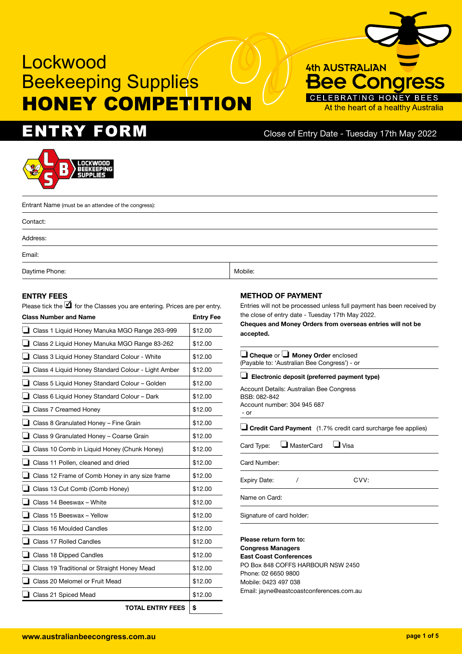# $ENTRY$   $FORM$  Close of Entry Date - Tuesday 17th May 2022

At the heart of a healthy Australia

**4th AUSTRALIAN** 

 $3ee$ 



Entrant Name (must be an attendee of the congress): Contact: Address: Email: Daytime Phone: Nobile: Nobile: Nobile: Nobile: Nobile: Nobile: Nobile: Nobile: Nobile: Nobile: Nobile: Nobile: Nobile: Nobile: Nobile: Nobile: Nobile: Nobile: Nobile: Nobile: Nobile: Nobile: Nobile: Nobile: Nobile: Nobile:

#### **ENTRY FEES**

Please tick the  $\overline{\mathbf{1}}$  for the Classes you are entering. Prices are per entry.

| <b>Class Number and Name</b> |                                                    | <b>Entry Fee</b> |
|------------------------------|----------------------------------------------------|------------------|
|                              | Class 1 Liquid Honey Manuka MGO Range 263-999      | \$12.00          |
|                              | Class 2 Liquid Honey Manuka MGO Range 83-262       | \$12.00          |
|                              | Class 3 Liquid Honey Standard Colour - White       | \$12.00          |
|                              | Class 4 Liquid Honey Standard Colour - Light Amber | \$12.00          |
|                              | Class 5 Liquid Honey Standard Colour - Golden      | \$12.00          |
|                              | Class 6 Liquid Honey Standard Colour - Dark        | \$12.00          |
|                              | Class 7 Creamed Honey                              | \$12.00          |
|                              | Class 8 Granulated Honey - Fine Grain              | \$12.00          |
|                              | Class 9 Granulated Honey - Coarse Grain            | \$12.00          |
|                              | Class 10 Comb in Liquid Honey (Chunk Honey)        | \$12.00          |
|                              | Class 11 Pollen, cleaned and dried                 | \$12.00          |
|                              | Class 12 Frame of Comb Honey in any size frame     | \$12.00          |
|                              | Class 13 Cut Comb (Comb Honey)                     | \$12.00          |
|                              | Class 14 Beeswax - White                           | \$12.00          |
|                              | Class 15 Beeswax - Yellow                          | \$12.00          |
|                              | Class 16 Moulded Candles                           | \$12.00          |
|                              | Class 17 Rolled Candles                            | \$12.00          |
|                              | Class 18 Dipped Candles                            | \$12.00          |
|                              | Class 19 Traditional or Straight Honey Mead        | \$12.00          |
|                              | Class 20 Melomel or Fruit Mead                     | \$12.00          |
|                              | Class 21 Spiced Mead                               | \$12.00          |
|                              | <b>TOTAL ENTRY FEES</b>                            | \$               |

#### **METHOD OF PAYMENT**

Entries will not be processed unless full payment has been received by the close of entry date - Tuesday 17th May 2022.

**Cheques and Money Orders from overseas entries will not be accepted.**

| $\Box$ Cheque or $\Box$ Money Order enclosed<br>(Payable to: 'Australian Bee Congress') - or                             |  |  |
|--------------------------------------------------------------------------------------------------------------------------|--|--|
| $\Box$ Electronic deposit (preferred payment type)                                                                       |  |  |
| Account Details: Australian Bee Congress<br>BSB: 082-842<br>Account number: 304 945 687<br>- or                          |  |  |
| <b>J</b> Credit Card Payment (1.7% credit card surcharge fee applies)                                                    |  |  |
| MasterCard<br>$\blacksquare$ Visa<br>Card Type:                                                                          |  |  |
| Card Number:                                                                                                             |  |  |
| CVV:<br><b>Expiry Date:</b>                                                                                              |  |  |
| Name on Card:                                                                                                            |  |  |
| Signature of card holder:                                                                                                |  |  |
| Please return form to:<br><b>Congress Managers</b><br><b>East Coast Conferences</b><br>PO Box 848 COFFS HARBOUR NSW 2450 |  |  |

Phone: 02 6650 9800 Mobile: 0423 497 038

Email: jayne@eastcoastconferences.com.au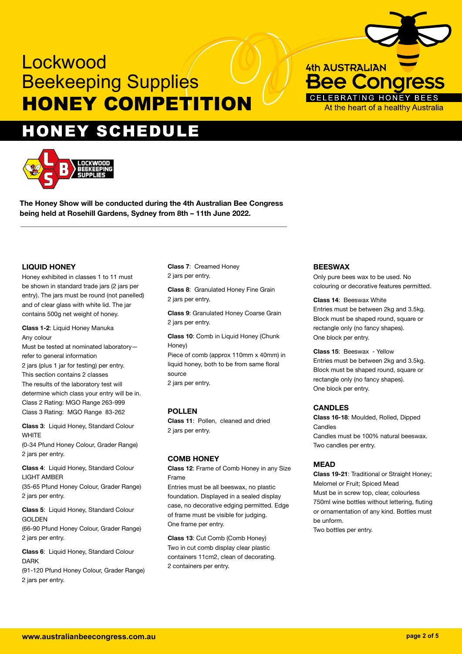# HONEY SCHEDULE



**The Honey Show will be conducted during the 4th Australian Bee Congress being held at Rosehill Gardens, Sydney from 8th – 11th June 2022.**

### **LIQUID HONEY**

Honey exhibited in classes 1 to 11 must be shown in standard trade jars (2 jars per entry). The jars must be round (not panelled) and of clear glass with white lid. The jar contains 500g net weight of honey.

**Class 1-2**: Liquid Honey Manuka Any colour Must be tested at nominated laboratory refer to general information 2 jars (plus 1 jar for testing) per entry. This section contains 2 classes The results of the laboratory test will determine which class your entry will be in. Class 2 Rating: MGO Range 263-999 Class 3 Rating: MGO Range 83-262

**Class 3**: Liquid Honey, Standard Colour **WHITE** (0-34 Pfund Honey Colour, Grader Range) 2 jars per entry.

**Class 4**: Liquid Honey, Standard Colour LIGHT AMBER (35-65 Pfund Honey Colour, Grader Range) 2 jars per entry.

**Class 5**: Liquid Honey, Standard Colour GOLDEN (66-90 Pfund Honey Colour, Grader Range) 2 jars per entry.

**Class 6**: Liquid Honey, Standard Colour DARK

(91-120 Pfund Honey Colour, Grader Range) 2 jars per entry.

### **Class 7**: Creamed Honey 2 jars per entry.

**Class 8**: Granulated Honey Fine Grain 2 jars per entry.

**Class 9**: Granulated Honey Coarse Grain 2 jars per entry.

**Class 10: Comb in Liquid Honey (Chunk)** Honey) Piece of comb (approx 110mm x 40mm) in liquid honey, both to be from same floral source 2 jars per entry.

## **POLLEN**

**Class 11**: Pollen, cleaned and dried 2 jars per entry.

# **COMB HONEY**

**Class 12**: Frame of Comb Honey in any Size Frame

Entries must be all beeswax, no plastic foundation. Displayed in a sealed display case, no decorative edging permitted. Edge of frame must be visible for judging. One frame per entry.

**Class 13**: Cut Comb (Comb Honey) Two in cut comb display clear plastic containers 11cm2, clean of decorating. 2 containers per entry.

# **BEESWAX**

Only pure bees wax to be used. No colouring or decorative features permitted.

#### **Class 14**: Beeswax White

**4th AUSTRALIAN** 

**Bee Congress** 

At the heart of a healthy Australia

CELEBRATING HONEY

Entries must be between 2kg and 3.5kg. Block must be shaped round, square or rectangle only (no fancy shapes). One block per entry.

**Class 15**: Beeswax - Yellow Entries must be between 2kg and 3.5kg. Block must be shaped round, square or rectangle only (no fancy shapes). One block per entry.

### **CANDLES**

**Class 16-18**: Moulded, Rolled, Dipped **Candles** Candles must be 100% natural beeswax. Two candles per entry.

# **MEAD**

**Class 19-21**: Traditional or Straight Honey; Melomel or Fruit; Spiced Mead Must be in screw top, clear, colourless 750ml wine bottles without lettering, fluting or ornamentation of any kind. Bottles must be unform.

Two bottles per entry.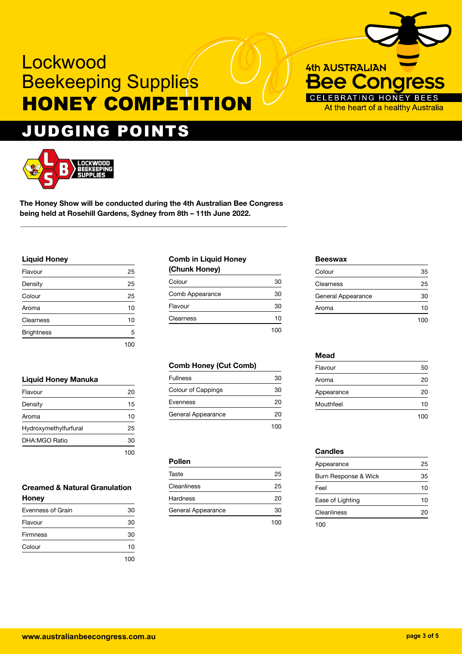# JUDGING POINTS



**The Honey Show will be conducted during the 4th Australian Bee Congress being held at Rosehill Gardens, Sydney from 8th – 11th June 2022.**

### **Liquid Honey**

| Flavour           | 25    |
|-------------------|-------|
| Density           | 25    |
| Colour            | 25    |
| Aroma             | 10    |
| Clearness         | 10    |
| <b>Brightness</b> | 5     |
|                   | 1 U U |

### **Liquid Honey Manuka**

| Flavour               | 20 |
|-----------------------|----|
| Density               | 15 |
| Aroma                 | 10 |
| Hydroxymethylfurfural | 25 |
| DHA:MGO Ratio         | 30 |
|                       |    |

### **Creamed & Natural Granulation Honey**

| Evenness of Grain | 30 |
|-------------------|----|
| Flavour           | 30 |
| <b>Firmness</b>   | 30 |
| Colour            | 10 |
|                   |    |

# **Comb in Liquid Honey**

| (Chunk Honey)   |     |
|-----------------|-----|
| Colour          | 30  |
| Comb Appearance | 30  |
| Flavour         | 30  |
| Clearness       | 10  |
|                 | 100 |

# **Comb Honey (Cut Comb)**

| <b>Fullness</b>    | 30          |
|--------------------|-------------|
| Colour of Cappings | 30          |
| Evenness           | 20          |
| General Appearance | 20          |
|                    | $^{\rm{O}}$ |

### **Pollen**

| Taste              | 25  |
|--------------------|-----|
| Cleanliness        | 25  |
| Hardness           | 20  |
| General Appearance | 30  |
|                    | 100 |

### **Beeswax**

**4th AUSTRALIAN** 

**ongress** 

HONE At the heart of a healthy Australia

ee

| Colour             | 35  |
|--------------------|-----|
| Clearness          | 25  |
| General Appearance | 30  |
| Aroma              | 10  |
|                    | 100 |

#### **Mead**

| Flavour    | 50  |
|------------|-----|
| Aroma      | 20  |
| Appearance | 20  |
| Mouthfeel  | 10  |
|            | 100 |

### **Candles**

| Appearance           | 25 |
|----------------------|----|
| Burn Response & Wick | 35 |
| Feel                 | 10 |
| Ease of Lighting     | 10 |
| Cleanliness          |    |
| 100                  |    |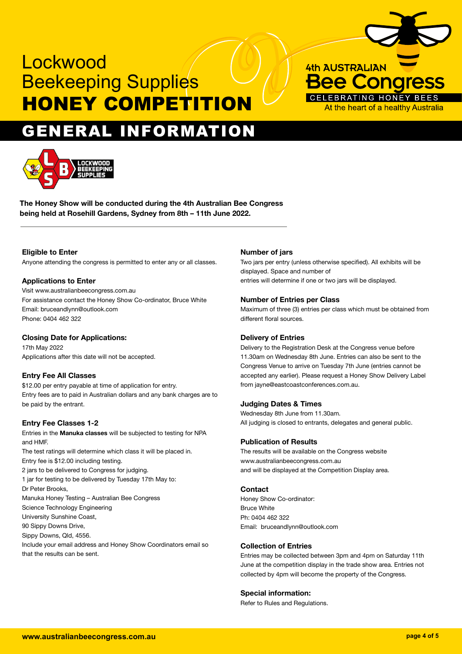



**The Honey Show will be conducted during the 4th Australian Bee Congress being held at Rosehill Gardens, Sydney from 8th – 11th June 2022.**

### **Eligible to Enter**

Anyone attending the congress is permitted to enter any or all classes.

#### **Applications to Enter**

Visit www.australianbeecongress.com.au For assistance contact the Honey Show Co-ordinator, Bruce White Email: bruceandlynn@outlook.com Phone: 0404 462 322

#### **Closing Date for Applications:**

17th May 2022 Applications after this date will not be accepted.

#### **Entry Fee All Classes**

\$12.00 per entry payable at time of application for entry. Entry fees are to paid in Australian dollars and any bank charges are to be paid by the entrant.

#### **Entry Fee Classes 1-2**

Entries in the **Manuka classes** will be subjected to testing for NPA and HMF.

The test ratings will determine which class it will be placed in. Entry fee is \$12.00 including testing. 2 jars to be delivered to Congress for judging. 1 jar for testing to be delivered by Tuesday 17th May to: Dr Peter Brooks, Manuka Honey Testing – Australian Bee Congress Science Technology Engineering University Sunshine Coast, 90 Sippy Downs Drive, Sippy Downs, Qld, 4556. Include your email address and Honey Show Coordinators email so

that the results can be sent.

### **Number of jars**

Two jars per entry (unless otherwise specified). All exhibits will be displayed. Space and number of entries will determine if one or two jars will be displayed.

**4th AUSTRALIAN** 

**Bee Congress** 

At the heart of a healthy Australia

CELEBRATING HONEY

#### **Number of Entries per Class**

Maximum of three (3) entries per class which must be obtained from different floral sources.

#### **Delivery of Entries**

Delivery to the Registration Desk at the Congress venue before 11.30am on Wednesday 8th June. Entries can also be sent to the Congress Venue to arrive on Tuesday 7th June (entries cannot be accepted any earlier). Please request a Honey Show Delivery Label from jayne@eastcoastconferences.com.au.

#### **Judging Dates & Times**

Wednesday 8th June from 11.30am. All judging is closed to entrants, delegates and general public.

#### **Publication of Results**

The results will be available on the Congress website www.australianbeecongress.com.au and will be displayed at the Competition Display area.

#### **Contact**

Honey Show Co-ordinator: Bruce White Ph: 0404 462 322 Email: bruceandlynn@outlook.com

#### **Collection of Entries**

Entries may be collected between 3pm and 4pm on Saturday 11th June at the competition display in the trade show area. Entries not collected by 4pm will become the property of the Congress.

#### **Special information:**

Refer to Rules and Regulations.